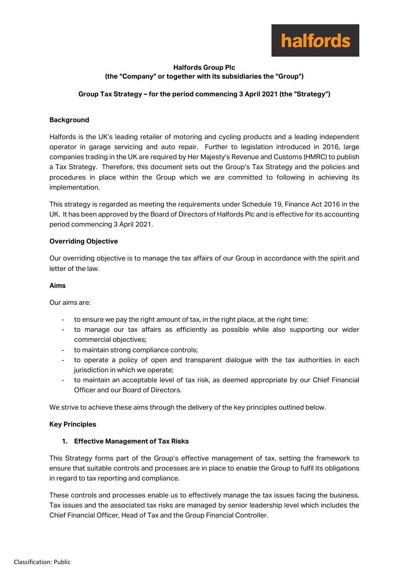

# **Halfords Group Plc (the "Company" or together with its subsidiaries the "Group")**

# **Group Tax Strategy – for the period commencing 3 April 2021 (the "Strategy")**

# **Background**

Halfords is the UK's leading retailer of motoring and cycling products and a leading independent operator in garage servicing and auto repair. Further to legislation introduced in 2016, large companies trading in the UK are required by Her Majesty's Revenue and Customs (HMRC) to publish a Tax Strategy. Therefore, this document sets out the Group's Tax Strategy and the policies and procedures in place within the Group which we are committed to following in achieving its implementation.

This strategy is regarded as meeting the requirements under Schedule 19, Finance Act 2016 in the UK. It has been approved by the Board of Directors of Halfords Plc and is effective for its accounting period commencing 3 April 2021.

## **Overriding Objective**

Our overriding objective is to manage the tax affairs of our Group in accordance with the spirit and letter of the law.

#### **Aims**

Our aims are:

- to ensure we pay the right amount of tax, in the right place, at the right time;
- to manage our tax affairs as efficiently as possible while also supporting our wider commercial objectives;
- to maintain strong compliance controls;
- to operate a policy of open and transparent dialogue with the tax authorities in each jurisdiction in which we operate;
- to maintain an acceptable level of tax risk, as deemed appropriate by our Chief Financial Officer and our Board of Directors.

We strive to achieve these aims through the delivery of the key principles outlined below.

## **Key Principles**

## **1. Effective Management of Tax Risks**

This Strategy forms part of the Group's effective management of tax, setting the framework to ensure that suitable controls and processes are in place to enable the Group to fulfil its obligations in regard to tax reporting and compliance.

These controls and processes enable us to effectively manage the tax issues facing the business. Tax issues and the associated tax risks are managed by senior leadership level which includes the Chief Financial Officer, Head of Tax and the Group Financial Controller.